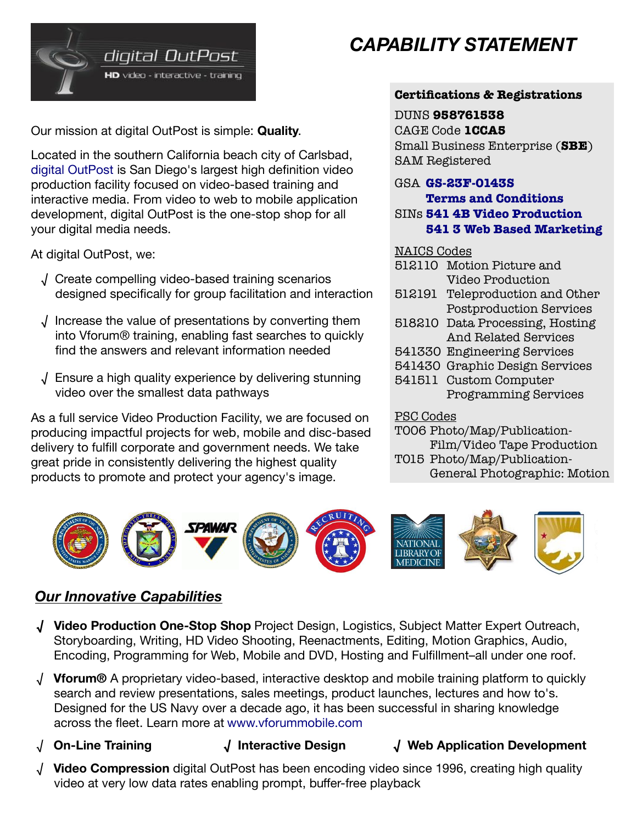

Our mission at digital OutPost is simple: **Quality**.

Located in the southern California beach city of Carlsbad, [digital OutPost](http://www.dop.com/) is San Diego's largest high definition video production facility focused on video-based training and interactive media. From video to web to mobile application development, digital OutPost is the one-stop shop for all your digital media needs.

At digital OutPost, we:

- √ Create compelling video-based training scenarios designed specifically for group facilitation and interaction
- √ Increase the value of presentations by converting them into Vforum® training, enabling fast searches to quickly find the answers and relevant information needed
- √ Ensure a high quality experience by delivering stunning video over the smallest data pathways

As a full service Video Production Facility, we are focused on producing impactful projects for web, mobile and disc-based delivery to fulfill corporate and government needs. We take great pride in consistently delivering the highest quality products to promote and protect your agency's image.

# *CAPABILITY STATEMENT*

#### **Certifications & Registrations**

#### DUNS **958761538**

CAGE Code **1CCA5**

Small Business Enterprise (**SBE**) SAM Registered

#### GSA **[GS-23F-0143S](http://www.gsaelibrary.gsa.gov/ElibMain/contractorInfo.do?contractNumber=GS-23F-0143S&contractorName=DIGITAL+OUTPOST,+INC&executeQuery=YES)**

**[Terms and Conditions](https://www.gsaadvantage.gov/ref_text/GS23F0143S/0K9MSK.2EO4GP_GS-23F-0143S_541ALL.PDF)**

SINs **[541 4B Video Productio](http://www.gsaelibrary.gsa.gov/ElibMain/sinDetails.do?scheduleNumber=00CORP&specialItemNumber=541+4B&executeQuery=YES)n [541 3 Web Based Marketin](http://www.gsaelibrary.gsa.gov/ElibMain/sinDetails.do?scheduleNumber=00CORP&specialItemNumber=541+3&executeQuery=YES)g**

#### NAICS Codes

- 512110 Motion Picture and Video Production
- 512191 Teleproduction and Other Postproduction Services
- 518210 Data Processing, Hosting And Related Services
- 541330 Engineering Services
- 541430 Graphic Design Services
- 541511 Custom Computer Programming Services

#### PSC Codes

T006 Photo/Map/Publication-Film/Video Tape Production T015 Photo/Map/Publication-General Photographic: Motion



## *Our Innovative Capabilities*

- **√ Video Production One-Stop Shop** Project Design, Logistics, Subject Matter Expert Outreach, Storyboarding, Writing, HD Video Shooting, Reenactments, Editing, Motion Graphics, Audio, Encoding, Programming for Web, Mobile and DVD, Hosting and Fulfillment–all under one roof.
- √ **Vforum®** A proprietary video-based, interactive desktop and mobile training platform to quickly search and review presentations, sales meetings, product launches, lectures and how to's. Designed for the US Navy over a decade ago, it has been successful in sharing knowledge across the fleet. Learn more at [www.vforummobile.com](http://www.vforummobile.com/)
- √ **On-Line Training √ Interactive Design √ Web Application Development**
- √ **Video Compression** digital OutPost has been encoding video since 1996, creating high quality video at very low data rates enabling prompt, buffer-free playback